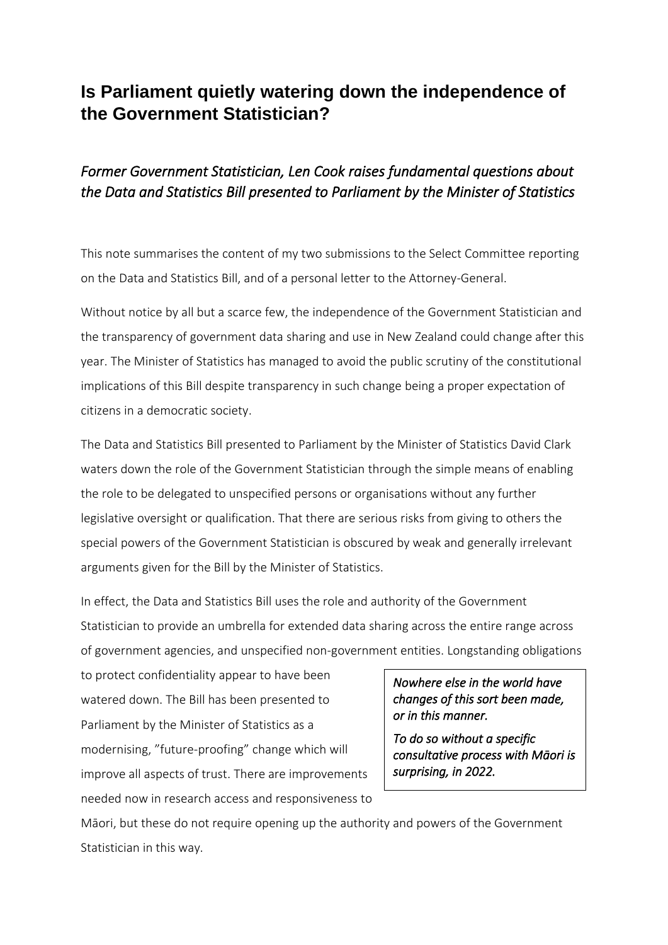# **Is Parliament quietly watering down the independence of the Government Statistician?**

## *Former Government Statistician, Len Cook raises fundamental questions about the Data and Statistics Bill presented to Parliament by the Minister of Statistics*

This note summarises the content of my two submissions to the Select Committee reporting on the Data and Statistics Bill, and of a personal letter to the Attorney-General.

Without notice by all but a scarce few, the independence of the Government Statistician and the transparency of government data sharing and use in New Zealand could change after this year. The Minister of Statistics has managed to avoid the public scrutiny of the constitutional implications of this Bill despite transparency in such change being a proper expectation of citizens in a democratic society.

The Data and Statistics Bill presented to Parliament by the Minister of Statistics David Clark waters down the role of the Government Statistician through the simple means of enabling the role to be delegated to unspecified persons or organisations without any further legislative oversight or qualification. That there are serious risks from giving to others the special powers of the Government Statistician is obscured by weak and generally irrelevant arguments given for the Bill by the Minister of Statistics.

In effect, the Data and Statistics Bill uses the role and authority of the Government Statistician to provide an umbrella for extended data sharing across the entire range across of government agencies, and unspecified non-government entities. Longstanding obligations

to protect confidentiality appear to have been watered down. The Bill has been presented to Parliament by the Minister of Statistics as a modernising, "future-proofing" change which will improve all aspects of trust. There are improvements needed now in research access and responsiveness to

*Nowhere else in the world have changes of this sort been made, or in this manner.* 

*To do so without a specific consultative process with Māori is surprising, in 2022.* 

Māori, but these do not require opening up the authority and powers of the Government Statistician in this way.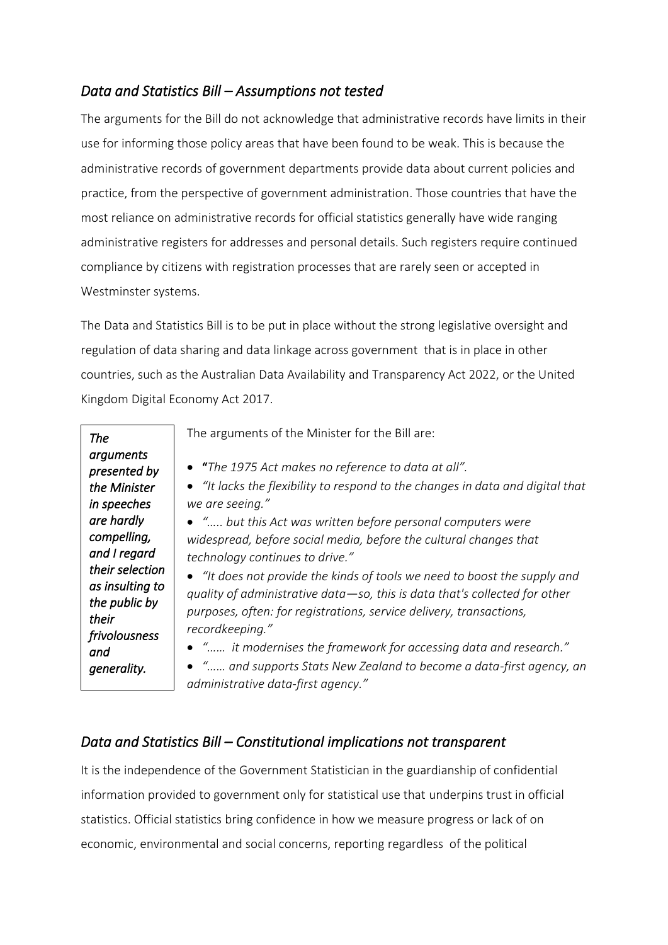### *Data and Statistics Bill – Assumptions not tested*

The arguments for the Bill do not acknowledge that administrative records have limits in their use for informing those policy areas that have been found to be weak. This is because the administrative records of government departments provide data about current policies and practice, from the perspective of government administration. Those countries that have the most reliance on administrative records for official statistics generally have wide ranging administrative registers for addresses and personal details. Such registers require continued compliance by citizens with registration processes that are rarely seen or accepted in Westminster systems.

The Data and Statistics Bill is to be put in place without the strong legislative oversight and regulation of data sharing and data linkage across government that is in place in other countries, such as the Australian Data Availability and Transparency Act 2022, or the United Kingdom Digital Economy Act 2017.

|                           | The arguments of the Minister for the Bill are:                                |
|---------------------------|--------------------------------------------------------------------------------|
| <b>The</b>                |                                                                                |
| arguments<br>presented by | • "The 1975 Act makes no reference to data at all".                            |
| the Minister              | • "It lacks the flexibility to respond to the changes in data and digital that |
| in speeches               | we are seeing."                                                                |
| are hardly                | • " but this Act was written before personal computers were                    |
| compelling,               | widespread, before social media, before the cultural changes that              |
| and I regard              | technology continues to drive."                                                |
| their selection           | • "It does not provide the kinds of tools we need to boost the supply and      |
| as insulting to           | quality of administrative data-so, this is data that's collected for other     |
| the public by             | purposes, often: for registrations, service delivery, transactions,            |
| their<br>frivolousness    | recordkeeping."                                                                |
| and                       | • " it modernises the framework for accessing data and research."              |
| generality.               | • " and supports Stats New Zealand to become a data-first agency, an           |
|                           | administrative data-first agency."                                             |

### *Data and Statistics Bill – Constitutional implications not transparent*

It is the independence of the Government Statistician in the guardianship of confidential information provided to government only for statistical use that underpins trust in official statistics. Official statistics bring confidence in how we measure progress or lack of on economic, environmental and social concerns, reporting regardless of the political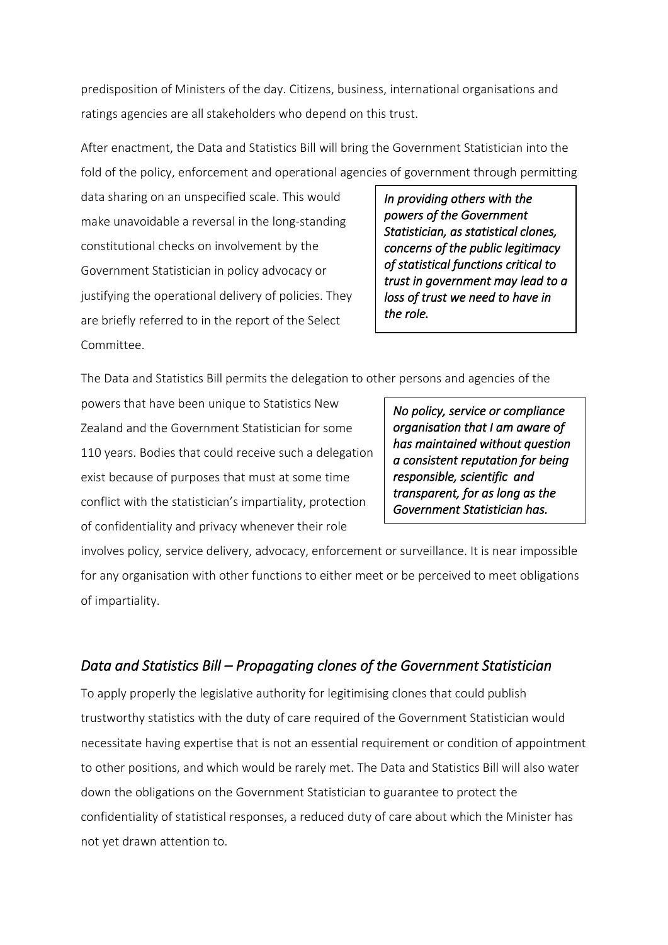predisposition of Ministers of the day. Citizens, business, international organisations and ratings agencies are all stakeholders who depend on this trust.

After enactment, the Data and Statistics Bill will bring the Government Statistician into the fold of the policy, enforcement and operational agencies of government through permitting

data sharing on an unspecified scale. This would make unavoidable a reversal in the long-standing constitutional checks on involvement by the Government Statistician in policy advocacy or justifying the operational delivery of policies. They are briefly referred to in the report of the Select Committee.

*In providing others with the powers of the Government Statistician, as statistical clones, concerns of the public legitimacy of statistical functions critical to trust in government may lead to a loss of trust we need to have in the role.* 

The Data and Statistics Bill permits the delegation to other persons and agencies of the

powers that have been unique to Statistics New Zealand and the Government Statistician for some 110 years. Bodies that could receive such a delegation exist because of purposes that must at some time conflict with the statistician's impartiality, protection of confidentiality and privacy whenever their role

*No policy, service or compliance organisation that I am aware of has maintained without question a consistent reputation for being responsible, scientific and transparent, for as long as the Government Statistician has.* 

involves policy, service delivery, advocacy, enforcement or surveillance. It is near impossible for any organisation with other functions to either meet or be perceived to meet obligations of impartiality.

### *Data and Statistics Bill – Propagating clones of the Government Statistician*

To apply properly the legislative authority for legitimising clones that could publish trustworthy statistics with the duty of care required of the Government Statistician would necessitate having expertise that is not an essential requirement or condition of appointment to other positions, and which would be rarely met. The Data and Statistics Bill will also water down the obligations on the Government Statistician to guarantee to protect the confidentiality of statistical responses, a reduced duty of care about which the Minister has not yet drawn attention to.